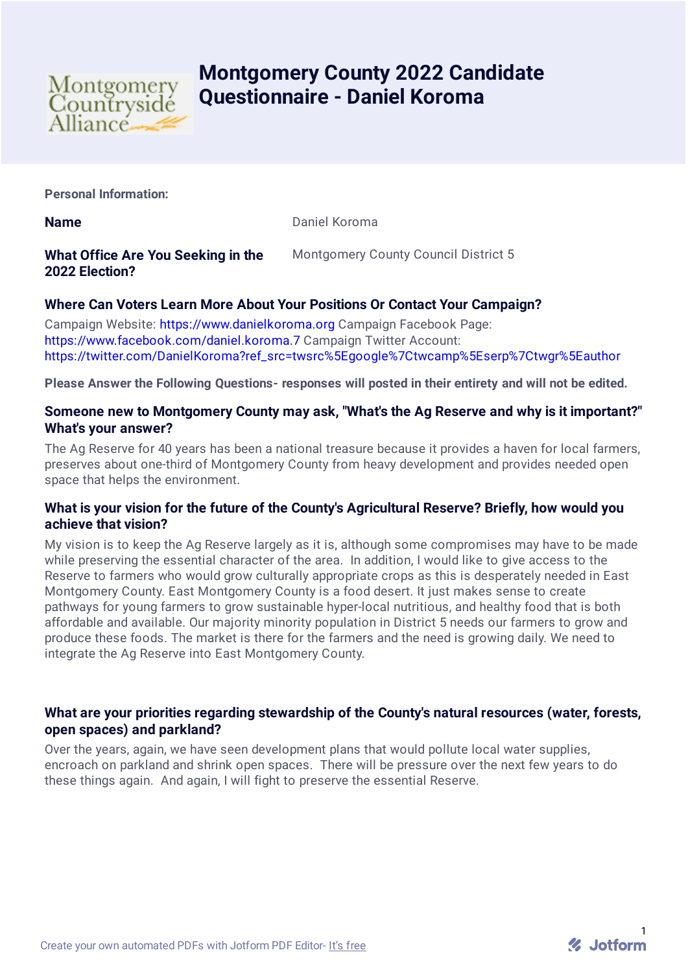

# **Montgomery County 2022 Candidate Questionnaire - Daniel Koroma**

**Personal Information:**

**Name** Daniel Koroma

## **What Office Are You Seeking in the 2022 Election?**

Montgomery County Council District 5

# **Where Can Voters Learn More About Your Positions Or Contact Your Campaign?**

Campaign Website: [https://www.danielkoroma.org](https://www.danielkoroma.org/) Campaign Facebook Page: <https://www.facebook.com/daniel.koroma.7> Campaign Twitter Account: [https://twitter.com/DanielKoroma?ref\\_src=twsrc%5Egoogle%7Ctwcamp%5Eserp%7Ctwgr%5Eauthor](https://twitter.com/DanielKoroma?ref_src=twsrc%5Egoogle%7Ctwcamp%5Eserp%7Ctwgr%5Eauthor)

**Please Answer the Following Questions- responses will posted in their entirety and will not be edited.**

### **Someone new to Montgomery County may ask, "What's the Ag Reserve and why is it important?" What's your answer?**

The Ag Reserve for 40 years has been a national treasure because it provides a haven for local farmers, preserves about one-third of Montgomery County from heavy development and provides needed open space that helps the environment.

#### **What is your vision for the future of the County's Agricultural Reserve? Briefly, how would you achieve that vision?**

My vision is to keep the Ag Reserve largely as it is, although some compromises may have to be made while preserving the essential character of the area. In addition, I would like to give access to the Reserve to farmers who would grow culturally appropriate crops as this is desperately needed in East Montgomery County. East Montgomery County is a food desert. It just makes sense to create pathways for young farmers to grow sustainable hyper-local nutritious, and healthy food that is both affordable and available. Our majority minority population in District 5 needs our farmers to grow and produce these foods. The market is there for the farmers and the need is growing daily. We need to integrate the Ag Reserve into East Montgomery County.

#### **What are your priorities regarding stewardship of the County's natural resources (water, forests, open spaces) and parkland?**

Over the years, again, we have seen development plans that would pollute local water supplies, encroach on parkland and shrink open spaces. There will be pressure over the next few years to do these things again. And again, I will fight to preserve the essential Reserve.

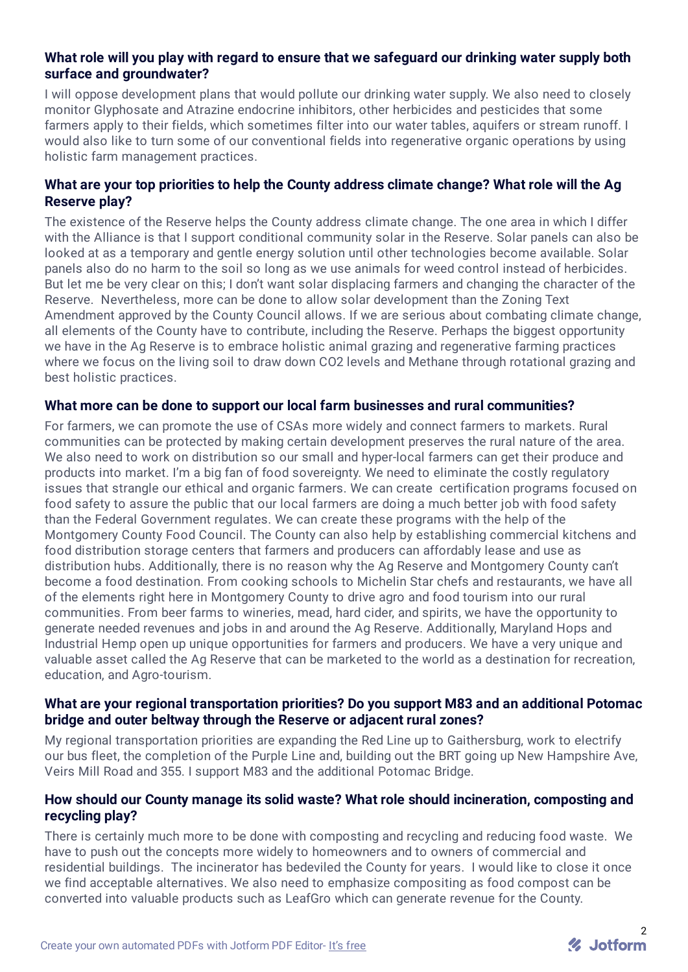## **What role will you play with regard to ensure that we safeguard our drinking water supply both surface and groundwater?**

I will oppose development plans that would pollute our drinking water supply. We also need to closely monitor Glyphosate and Atrazine endocrine inhibitors, other herbicides and pesticides that some farmers apply to their fields, which sometimes filter into our water tables, aquifers or stream runoff. I would also like to turn some of our conventional fields into regenerative organic operations by using holistic farm management practices.

## **What are your top priorities to help the County address climate change? What role will the Ag Reserve play?**

The existence of the Reserve helps the County address climate change. The one area in which I differ with the Alliance is that I support conditional community solar in the Reserve. Solar panels can also be looked at as a temporary and gentle energy solution until other technologies become available. Solar panels also do no harm to the soil so long as we use animals for weed control instead of herbicides. But let me be very clear on this; I don't want solar displacing farmers and changing the character of the Reserve. Nevertheless, more can be done to allow solar development than the Zoning Text Amendment approved by the County Council allows. If we are serious about combating climate change, all elements of the County have to contribute, including the Reserve. Perhaps the biggest opportunity we have in the Ag Reserve is to embrace holistic animal grazing and regenerative farming practices where we focus on the living soil to draw down CO2 levels and Methane through rotational grazing and best holistic practices.

#### **What more can be done to support our local farm businesses and rural communities?**

For farmers, we can promote the use of CSAs more widely and connect farmers to markets. Rural communities can be protected by making certain development preserves the rural nature of the area. We also need to work on distribution so our small and hyper-local farmers can get their produce and products into market. I'm a big fan of food sovereignty. We need to eliminate the costly regulatory issues that strangle our ethical and organic farmers. We can create certification programs focused on food safety to assure the public that our local farmers are doing a much better job with food safety than the Federal Government regulates. We can create these programs with the help of the Montgomery County Food Council. The County can also help by establishing commercial kitchens and food distribution storage centers that farmers and producers can affordably lease and use as distribution hubs. Additionally, there is no reason why the Ag Reserve and Montgomery County can't become a food destination. From cooking schools to Michelin Star chefs and restaurants, we have all of the elements right here in Montgomery County to drive agro and food tourism into our rural communities. From beer farms to wineries, mead, hard cider, and spirits, we have the opportunity to generate needed revenues and jobs in and around the Ag Reserve. Additionally, Maryland Hops and Industrial Hemp open up unique opportunities for farmers and producers. We have a very unique and valuable asset called the Ag Reserve that can be marketed to the world as a destination for recreation, education, and Agro-tourism.

## **What are your regional transportation priorities? Do you support M83 and an additional Potomac bridge and outer beltway through the Reserve or adjacent rural zones?**

My regional transportation priorities are expanding the Red Line up to Gaithersburg, work to electrify our bus fleet, the completion of the Purple Line and, building out the BRT going up New Hampshire Ave, Veirs Mill Road and 355. I support M83 and the additional Potomac Bridge.

## **How should our County manage its solid waste? What role should incineration, composting and recycling play?**

There is certainly much more to be done with composting and recycling and reducing food waste. We have to push out the concepts more widely to homeowners and to owners of commercial and residential buildings. The incinerator has bedeviled the County for years. I would like to close it once we find acceptable alternatives. We also need to emphasize compositing as food compost can be converted into valuable products such as LeafGro which can generate revenue for the County.